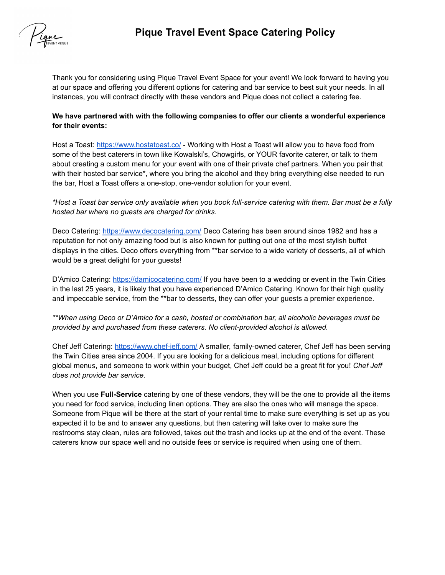

Thank you for considering using Pique Travel Event Space for your event! We look forward to having you at our space and offering you different options for catering and bar service to best suit your needs. In all instances, you will contract directly with these vendors and Pique does not collect a catering fee.

## **We have partnered with with the following companies to offer our clients a wonderful experience for their events:**

Host a Toast: <https://www.hostatoast.co/> - Working with Host a Toast will allow you to have food from some of the best caterers in town like Kowalski's, Chowgirls, or YOUR favorite caterer, or talk to them about creating a custom menu for your event with one of their private chef partners. When you pair that with their hosted bar service\*, where you bring the alcohol and they bring everything else needed to run the bar, Host a Toast offers a one-stop, one-vendor solution for your event.

\*Host a Toast bar service only available when you book full-service catering with them. Bar must be a fully *hosted bar where no guests are charged for drinks.*

Deco Catering: <https://www.decocatering.com/> Deco Catering has been around since 1982 and has a reputation for not only amazing food but is also known for putting out one of the most stylish buffet displays in the cities. Deco offers everything from \*\*bar service to a wide variety of desserts, all of which would be a great delight for your guests!

D'Amico Catering: <https://damicocatering.com/> If you have been to a wedding or event in the Twin Cities in the last 25 years, it is likely that you have experienced D'Amico Catering. Known for their high quality and impeccable service, from the \*\*bar to desserts, they can offer your guests a premier experience.

*\*\*When using Deco or D'Amico for a cash, hosted or combination bar, all alcoholic beverages must be provided by and purchased from these caterers. No client-provided alcohol is allowed.*

Chef Jeff Catering: <https://www.chef-jeff.com/> A smaller, family-owned caterer, Chef Jeff has been serving the Twin Cities area since 2004. If you are looking for a delicious meal, including options for different global menus, and someone to work within your budget, Chef Jeff could be a great fit for you! *Chef Jeff does not provide bar service.*

When you use **Full-Service** catering by one of these vendors, they will be the one to provide all the items you need for food service, including linen options. They are also the ones who will manage the space. Someone from Pique will be there at the start of your rental time to make sure everything is set up as you expected it to be and to answer any questions, but then catering will take over to make sure the restrooms stay clean, rules are followed, takes out the trash and locks up at the end of the event. These caterers know our space well and no outside fees or service is required when using one of them.